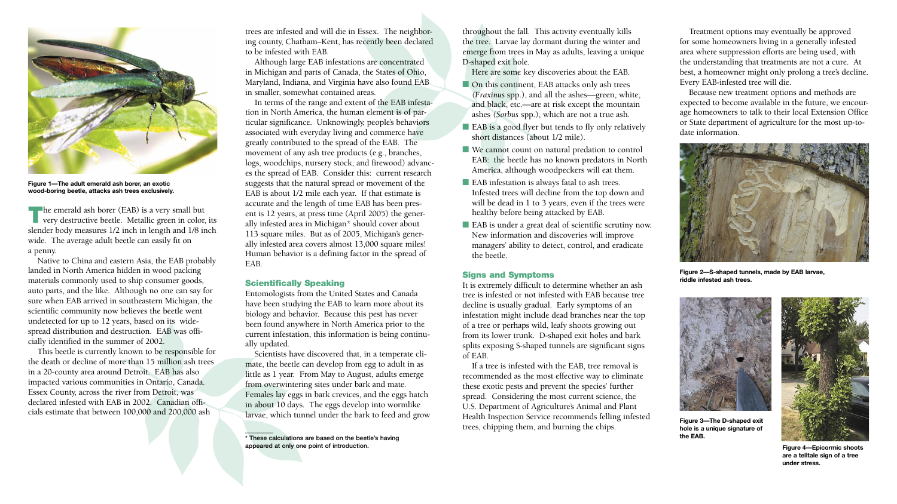**Figure 2—S-shaped tunnels, made by EAB larvae, riddle infested ash trees.**



The emerald ash borer (EAB) is a very small but<br>
very destructive beetle. Metallic green in color, its slender body measures 1/2 inch in length and 1/8 inch wide. The average adult beetle can easily fit on a penny.

Native to China and eastern Asia, the EAB probably landed in North America hidden in wood packing materials commonly used to ship consumer goods, auto parts, and the like. Although no one can say for sure when EAB arrived in southeastern Michigan, the scientific community now believes the beetle went undetected for up to 12 years, based on its widespread distribution and destruction. EAB was officially identified in the summer of 2002.

This beetle is currently known to be responsible for the death or decline of more than 15 million ash trees in a 20-county area around Detroit. EAB has also impacted various communities in Ontario, Canada. Essex County, across the river from Detroit, was declared infested with EAB in 2002. Canadian officials estimate that between 100,000 and 200,000 ash

trees are infested and will die in Essex. The neighboring county, Chatham–Kent, has recently been declared to be infested with EAB.

Although large EAB infestations are concentrated in Michigan and parts of Canada, the States of Ohio, Maryland, Indiana, and Virginia have also found EAB in smaller, somewhat contained areas.

In terms of the range and extent of the EAB infestation in North America, the human element is of particular significance. Unknowingly, people's behaviors associated with everyday living and commerce have greatly contributed to the spread of the EAB. The movement of any ash tree products (e.g., branches, logs, woodchips, nursery stock, and firewood) advances the spread of EAB. Consider this: current research suggests that the natural spread or movement of the EAB is about 1/2 mile each year. If that estimate is accurate and the length of time EAB has been present is 12 years, at press time (April 2005) the generally infested area in Michigan\* should cover about 113 square miles. But as of 2005, Michigan's generally infested area covers almost 13,000 square miles! Human behavior is a defining factor in the spread of EAB.

- On this continent, EAB attacks only ash trees *(Fraxinus* spp.), and all the ashes—green, white, and black, etc.—are at risk except the mountain ashes *(Sorbus* spp.), which are not a true ash.
- EAB is a good flyer but tends to fly only relatively short distances (about 1/2 mile).
- We cannot count on natural predation to control EAB: the beetle has no known predators in North America, although woodpeckers will eat them.
- EAB infestation is always fatal to ash trees. Infested trees will decline from the top down and will be dead in 1 to 3 years, even if the trees were healthy before being attacked by EAB.
- EAB is under a great deal of scientific scrutiny now. New information and discoveries will improve managers' ability to detect, control, and eradicate the beetle.

## Scientifically Speaking

 $\mathcal{L}=\mathcal{L}$ 

Entomologists from the United States and Canada have been studying the EAB to learn more about its biology and behavior. Because this pest has never been found anywhere in North America prior to the current infestation, this information is being continually updated.

Scientists have discovered that, in a temperate climate, the beetle can develop from egg to adult in as little as 1 year. From May to August, adults emerge from overwintering sites under bark and mate. Females lay eggs in bark crevices, and the eggs hatch in about 10 days. The eggs develop into wormlike larvae, which tunnel under the bark to feed and grow throughout the fall. This activity eventually kills the tree. Larvae lay dormant during the winter and emerge from trees in May as adults, leaving a unique D-shaped exit hole.

Here are some key discoveries about the EAB.

## Signs and Symptoms

It is extremely difficult to determine whether an ash tree is infested or not infested with EAB because tree decline is usually gradual. Early symptoms of an infestation might include dead branches near the top of a tree or perhaps wild, leafy shoots growing out from its lower trunk. D-shaped exit holes and bark splits exposing S-shaped tunnels are significant signs of EAB.

If a tree is infested with the EAB, tree removal is recommended as the most effective way to eliminate these exotic pests and prevent the species' further spread. Considering the most current science, the U.S. Department of Agriculture's Animal and Plant Health Inspection Service recommends felling infested trees, chipping them, and burning the chips.



Treatment options may eventually be approved for some homeowners living in a generally infested area where suppression efforts are being used, with the understanding that treatments are not a cure. At best, a homeowner might only prolong a tree's decline. Every EAB-infested tree will die.

Because new treatment options and methods are expected to become available in the future, we encourage homeowners to talk to their local Extension Office or State department of agriculture for the most up-todate information.





**Figure 1—The adult emerald ash borer, an exotic wood-boring beetle, attacks ash trees exclusively.**

\* These calculations are based on the beetle's having appeared at only one point of introduction.



**Figure 3—The D-shaped exit hole is a unique signature of the EAB.**



**Figure 4—Epicormic shoots are a telltale sign of a tree under stress.**